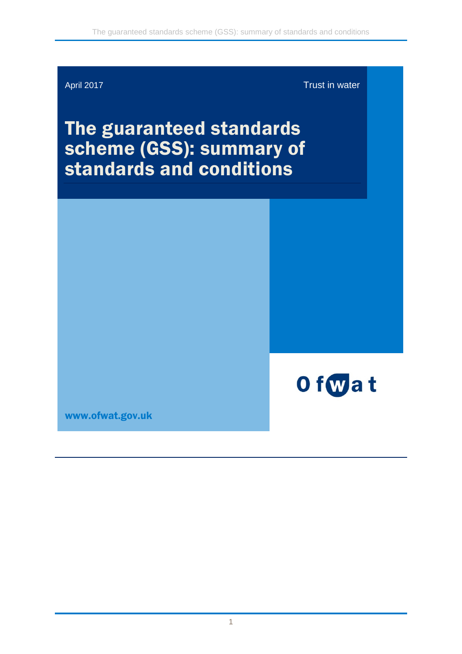

April 2017 **Trust in water** 

# The guaranteed standards scheme (GSS): summary of standards and conditions



[www.ofwat.gov.uk](http://www.ofwat.gov.uk/)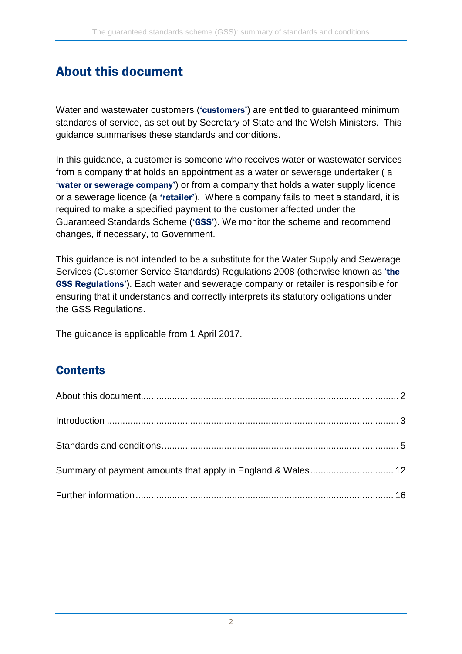# <span id="page-1-0"></span>About this document

Water and wastewater customers ('customers') are entitled to guaranteed minimum standards of service, as set out by Secretary of State and the Welsh Ministers. This guidance summarises these standards and conditions.

In this guidance, a customer is someone who receives water or wastewater services from a company that holds an appointment as a water or sewerage undertaker ( a 'water or sewerage company') or from a company that holds a water supply licence or a sewerage licence (a 'retailer'). Where a company fails to meet a standard, it is required to make a specified payment to the customer affected under the Guaranteed Standards Scheme ('GSS'). We monitor the scheme and recommend changes, if necessary, to Government.

This guidance is not intended to be a substitute for the Water Supply and Sewerage Services (Customer Service Standards) Regulations 2008 (otherwise known as 'the GSS Regulations'). Each water and sewerage company or retailer is responsible for ensuring that it understands and correctly interprets its statutory obligations under the GSS Regulations.

The guidance is applicable from 1 April 2017.

## **Contents**

| Summary of payment amounts that apply in England & Wales 12 |  |
|-------------------------------------------------------------|--|
|                                                             |  |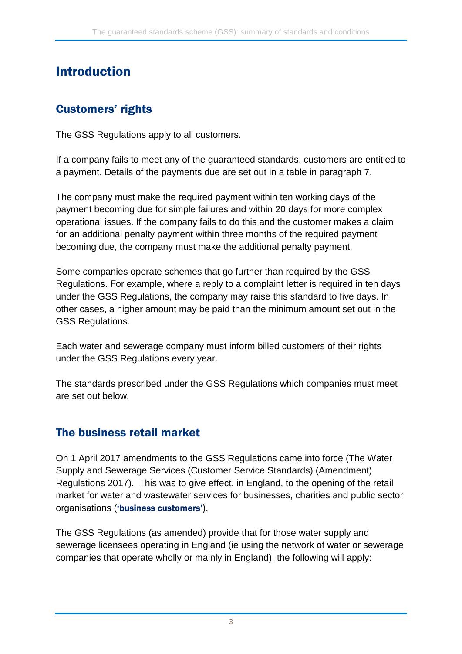# <span id="page-2-0"></span>Introduction

#### Customers' rights

The GSS Regulations apply to all customers.

If a company fails to meet any of the guaranteed standards, customers are entitled to a payment. Details of the payments due are set out in a table in paragraph 7.

The company must make the required payment within ten working days of the payment becoming due for simple failures and within 20 days for more complex operational issues. If the company fails to do this and the customer makes a claim for an additional penalty payment within three months of the required payment becoming due, the company must make the additional penalty payment.

Some companies operate schemes that go further than required by the GSS Regulations. For example, where a reply to a complaint letter is required in ten days under the GSS Regulations, the company may raise this standard to five days. In other cases, a higher amount may be paid than the minimum amount set out in the GSS Regulations.

Each water and sewerage company must inform billed customers of their rights under the GSS Regulations every year.

The standards prescribed under the GSS Regulations which companies must meet are set out below.

#### The business retail market

On 1 April 2017 amendments to the GSS Regulations came into force (The Water Supply and Sewerage Services (Customer Service Standards) (Amendment) Regulations 2017). This was to give effect, in England, to the opening of the retail market for water and wastewater services for businesses, charities and public sector organisations ('business customers').

The GSS Regulations (as amended) provide that for those water supply and sewerage licensees operating in England (ie using the network of water or sewerage companies that operate wholly or mainly in England), the following will apply: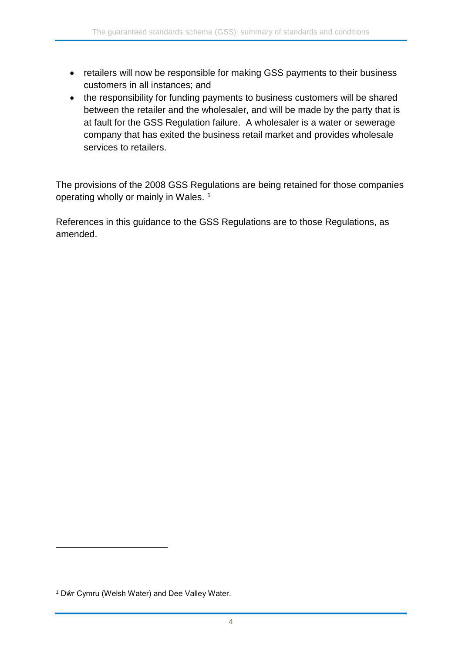- retailers will now be responsible for making GSS payments to their business customers in all instances; and
- the responsibility for funding payments to business customers will be shared between the retailer and the wholesaler, and will be made by the party that is at fault for the GSS Regulation failure. A wholesaler is a water or sewerage company that has exited the business retail market and provides wholesale services to retailers.

The provisions of the 2008 GSS Regulations are being retained for those companies operating wholly or mainly in Wales.<sup>[1](#page-3-0)</sup>

References in this guidance to the GSS Regulations are to those Regulations, as amended.

<span id="page-3-0"></span><sup>1</sup> Dŵr Cymru (Welsh Water) and Dee Valley Water.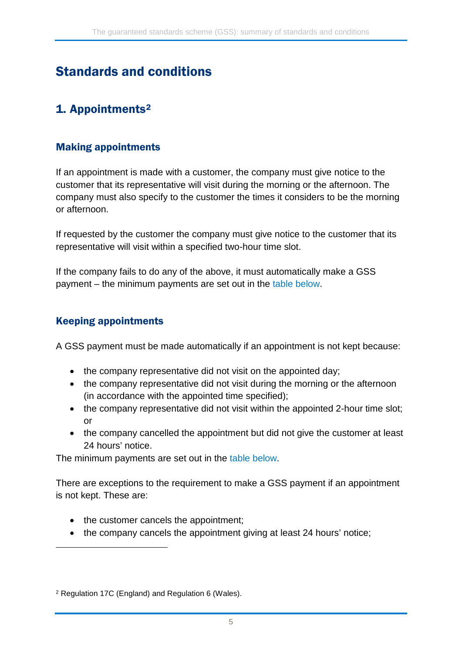# <span id="page-4-0"></span>Standards and conditions

# 1. Appointments[2](#page-4-1)

#### Making appointments

If an appointment is made with a customer, the company must give notice to the customer that its representative will visit during the morning or the afternoon. The company must also specify to the customer the times it considers to be the morning or afternoon.

If requested by the customer the company must give notice to the customer that its representative will visit within a specified two-hour time slot.

If the company fails to do any of the above, it must automatically make a GSS payment – the minimum payments are set out in the [table below.](#page-10-0)

#### Keeping appointments

-

A GSS payment must be made automatically if an appointment is not kept because:

- the company representative did not visit on the appointed day;
- the company representative did not visit during the morning or the afternoon (in accordance with the appointed time specified);
- the company representative did not visit within the appointed 2-hour time slot; or
- the company cancelled the appointment but did not give the customer at least 24 hours' notice.

The minimum payments are set out in the [table below.](#page-10-0)

There are exceptions to the requirement to make a GSS payment if an appointment is not kept. These are:

- the customer cancels the appointment;
- the company cancels the appointment giving at least 24 hours' notice;

<span id="page-4-1"></span><sup>2</sup> Regulation 17C (England) and Regulation 6 (Wales).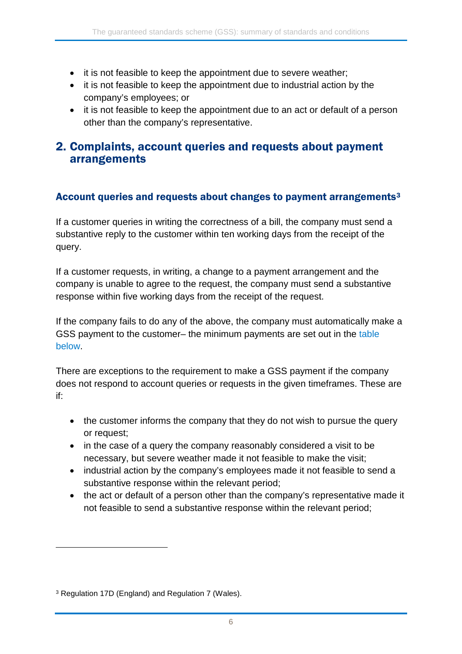- it is not feasible to keep the appointment due to severe weather;
- it is not feasible to keep the appointment due to industrial action by the company's employees; or
- it is not feasible to keep the appointment due to an act or default of a person other than the company's representative.

#### 2. [Complaints, account queries and requests about payment](http://www.legislation.gov.uk/uksi/2008/594/regulation/7/made)  [arrangements](http://www.legislation.gov.uk/uksi/2008/594/regulation/7/made)

#### Account queries and requests about changes to payment arrangements<sup>[3](#page-5-0)</sup>

If a customer queries in writing the correctness of a bill, the company must send a substantive reply to the customer within ten working days from the receipt of the query.

If a customer requests, in writing, a change to a payment arrangement and the company is unable to agree to the request, the company must send a substantive response within five working days from the receipt of the request.

If the company fails to do any of the above, the company must automatically make a GSS payment to the customer– the minimum payments are set out in the [table](#page-10-0)  [below.](#page-10-0)

There are exceptions to the requirement to make a GSS payment if the company does not respond to account queries or requests in the given timeframes. These are if:

- the customer informs the company that they do not wish to pursue the query or request;
- in the case of a query the company reasonably considered a visit to be necessary, but severe weather made it not feasible to make the visit;
- industrial action by the company's employees made it not feasible to send a substantive response within the relevant period;
- the act or default of a person other than the company's representative made it not feasible to send a substantive response within the relevant period;

<span id="page-5-0"></span><sup>3</sup> Regulation 17D (England) and Regulation 7 (Wales).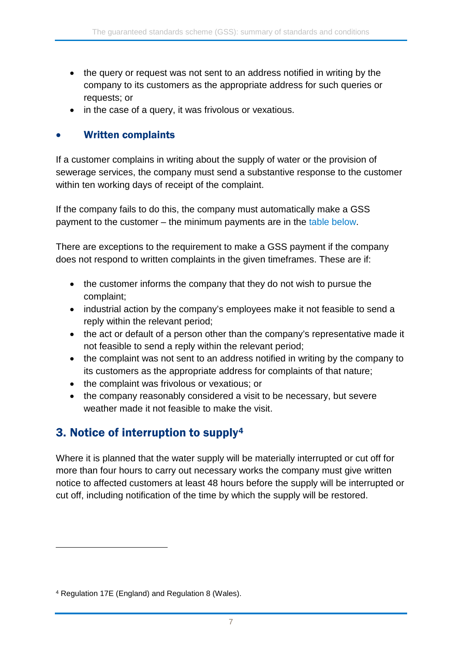- the query or request was not sent to an address notified in writing by the company to its customers as the appropriate address for such queries or requests; or
- in the case of a query, it was frivolous or vexatious.

#### • Written complaints

If a customer complains in writing about the supply of water or the provision of sewerage services, the company must send a substantive response to the customer within ten working days of receipt of the complaint.

If the company fails to do this, the company must automatically make a GSS payment to the customer – the minimum payments are in the [table below.](#page-10-0)

There are exceptions to the requirement to make a GSS payment if the company does not respond to written complaints in the given timeframes. These are if:

- the customer informs the company that they do not wish to pursue the complaint;
- industrial action by the company's employees make it not feasible to send a reply within the relevant period;
- the act or default of a person other than the company's representative made it not feasible to send a reply within the relevant period;
- the complaint was not sent to an address notified in writing by the company to its customers as the appropriate address for complaints of that nature;
- the complaint was frivolous or vexatious; or
- the company reasonably considered a visit to be necessary, but severe weather made it not feasible to make the visit.

## 3. Notice of interruption to supply[4](#page-6-0)

Where it is planned that the water supply will be materially interrupted or cut off for more than four hours to carry out necessary works the company must give written notice to affected customers at least 48 hours before the supply will be interrupted or cut off, including notification of the time by which the supply will be restored.

<span id="page-6-0"></span><sup>4</sup> Regulation 17E (England) and Regulation 8 (Wales).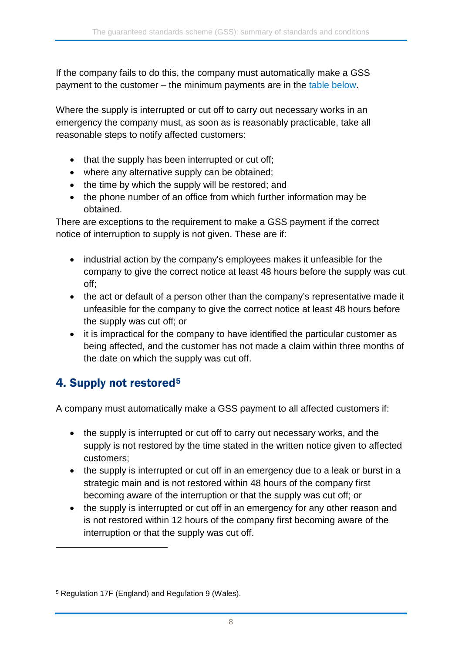If the company fails to do this, the company must automatically make a GSS payment to the customer – the minimum payments are in the [table below.](#page-10-0)

Where the supply is interrupted or cut off to carry out necessary works in an emergency the company must, as soon as is reasonably practicable, take all reasonable steps to notify affected customers:

- that the supply has been interrupted or cut off;
- where any alternative supply can be obtained;
- the time by which the supply will be restored; and
- the phone number of an office from which further information may be obtained.

There are exceptions to the requirement to make a GSS payment if the correct notice of interruption to supply is not given. These are if:

- industrial action by the company's employees makes it unfeasible for the company to give the correct notice at least 48 hours before the supply was cut off;
- the act or default of a person other than the company's representative made it unfeasible for the company to give the correct notice at least 48 hours before the supply was cut off; or
- it is impractical for the company to have identified the particular customer as being affected, and the customer has not made a claim within three months of the date on which the supply was cut off.

## <span id="page-7-1"></span>4. Supply not restored[5](#page-7-0)

-

A company must automatically make a GSS payment to all affected customers if:

- the supply is interrupted or cut off to carry out necessary works, and the supply is not restored by the time stated in the written notice given to affected customers;
- the supply is interrupted or cut off in an emergency due to a leak or burst in a strategic main and is not restored within 48 hours of the company first becoming aware of the interruption or that the supply was cut off; or
- the supply is interrupted or cut off in an emergency for any other reason and is not restored within 12 hours of the company first becoming aware of the interruption or that the supply was cut off.

<span id="page-7-0"></span><sup>5</sup> Regulation 17F (England) and Regulation 9 (Wales).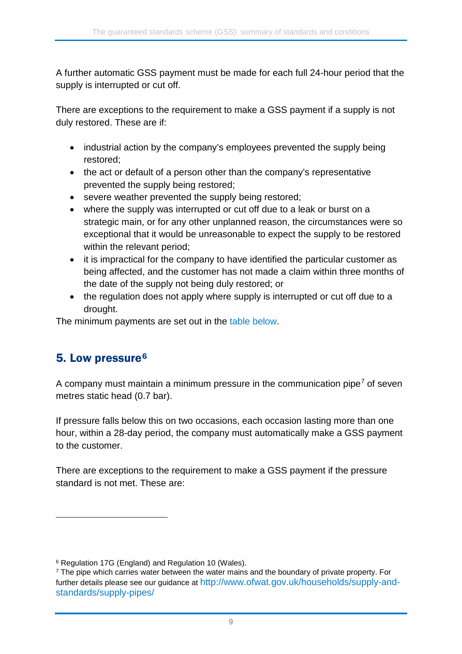A further automatic GSS payment must be made for each full 24-hour period that the supply is interrupted or cut off.

There are exceptions to the requirement to make a GSS payment if a supply is not duly restored. These are if:

- industrial action by the company's employees prevented the supply being restored;
- the act or default of a person other than the company's representative prevented the supply being restored;
- severe weather prevented the supply being restored;
- where the supply was interrupted or cut off due to a leak or burst on a strategic main, or for any other unplanned reason, the circumstances were so exceptional that it would be unreasonable to expect the supply to be restored within the relevant period;
- it is impractical for the company to have identified the particular customer as being affected, and the customer has not made a claim within three months of the date of the supply not being duly restored; or
- the regulation does not apply where supply is interrupted or cut off due to a drought.

The minimum payments are set out in the [table below.](#page-10-0)

## 5. Low pressure<sup>[6](#page-8-0)</sup>

-

A company must maintain a minimum pressure in the communication pipe<sup>[7](#page-8-1)</sup> of seven metres static head (0.7 bar).

If pressure falls below this on two occasions, each occasion lasting more than one hour, within a 28-day period, the company must automatically make a GSS payment to the customer.

There are exceptions to the requirement to make a GSS payment if the pressure standard is not met. These are:

<span id="page-8-0"></span><sup>6</sup> Regulation 17G (England) and Regulation 10 (Wales).

<span id="page-8-1"></span><sup>&</sup>lt;sup>7</sup> The pipe which carries water between the water mains and the boundary of private property. For further details please see our guidance at [http://www.ofwat.gov.uk/households/supply-and](http://www.ofwat.gov.uk/households/supply-and-standards/supply-pipes/)[standards/supply-pipes/](http://www.ofwat.gov.uk/households/supply-and-standards/supply-pipes/)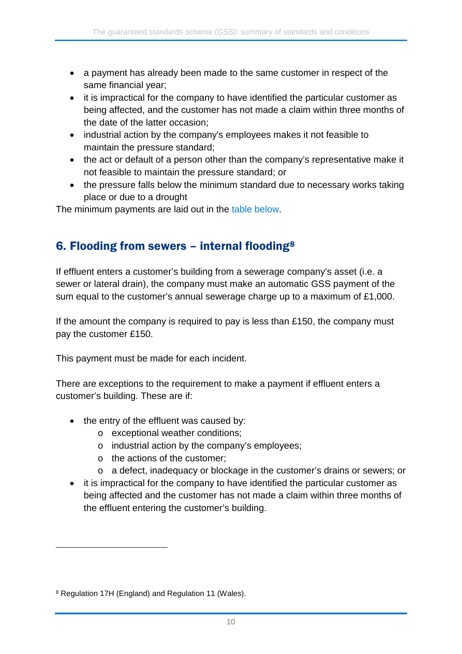- a payment has already been made to the same customer in respect of the same financial year;
- it is impractical for the company to have identified the particular customer as being affected, and the customer has not made a claim within three months of the date of the latter occasion;
- industrial action by the company's employees makes it not feasible to maintain the pressure standard;
- the act or default of a person other than the company's representative make it not feasible to maintain the pressure standard; or
- the pressure falls below the minimum standard due to necessary works taking place or due to a drought

The minimum payments are laid out in the [table below.](#page-10-0)

#### 6. Flooding from sewers – internal flooding[8](#page-9-0)

If effluent enters a customer's building from a sewerage company's asset (i.e. a sewer or lateral drain), the company must make an automatic GSS payment of the sum equal to the customer's annual sewerage charge up to a maximum of £1,000.

If the amount the company is required to pay is less than £150, the company must pay the customer £150.

This payment must be made for each incident.

There are exceptions to the requirement to make a payment if effluent enters a customer's building. These are if:

- the entry of the effluent was caused by:
	- o exceptional weather conditions;
	- o industrial action by the company's employees;
	- o the actions of the customer;
	- o a defect, inadequacy or blockage in the customer's drains or sewers; or
- it is impractical for the company to have identified the particular customer as being affected and the customer has not made a claim within three months of the effluent entering the customer's building.

<span id="page-9-0"></span><sup>8</sup> Regulation 17H (England) and Regulation 11 (Wales).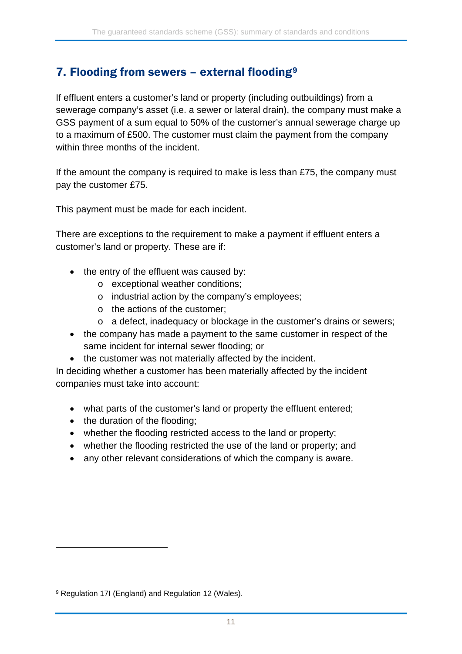#### 7. Flooding from sewers - external flooding<sup>[9](#page-10-1)</sup>

If effluent enters a customer's land or property (including outbuildings) from a sewerage company's asset (i.e. a sewer or lateral drain), the company must make a GSS payment of a sum equal to 50% of the customer's annual sewerage charge up to a maximum of £500. The customer must claim the payment from the company within three months of the incident.

If the amount the company is required to make is less than £75, the company must pay the customer £75.

This payment must be made for each incident.

There are exceptions to the requirement to make a payment if effluent enters a customer's land or property. These are if:

- the entry of the effluent was caused by:
	- o exceptional weather conditions;
	- o industrial action by the company's employees;
	- o the actions of the customer;
	- o a defect, inadequacy or blockage in the customer's drains or sewers;
- the company has made a payment to the same customer in respect of the same incident for internal sewer flooding; or
- the customer was not materially affected by the incident.

In deciding whether a customer has been materially affected by the incident companies must take into account:

- what parts of the customer's land or property the effluent entered;
- the duration of the flooding;
- whether the flooding restricted access to the land or property;
- whether the flooding restricted the use of the land or property; and
- <span id="page-10-0"></span>• any other relevant considerations of which the company is aware.

<span id="page-10-1"></span><sup>9</sup> Regulation 17I (England) and Regulation 12 (Wales).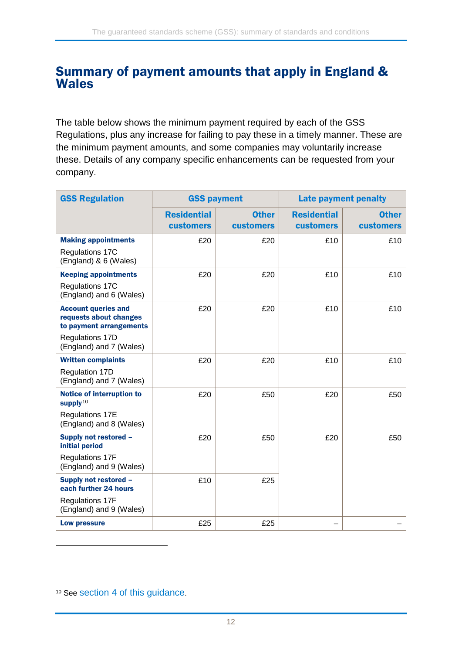#### <span id="page-11-0"></span>Summary of payment amounts that apply in England & Wales

The table below shows the minimum payment required by each of the GSS Regulations, plus any increase for failing to pay these in a timely manner. These are the minimum payment amounts, and some companies may voluntarily increase these. Details of any company specific enhancements can be requested from your company.

| <b>GSS Regulation</b>                                                           | <b>GSS payment</b>                     |                                  | <b>Late payment penalty</b>            |                                  |
|---------------------------------------------------------------------------------|----------------------------------------|----------------------------------|----------------------------------------|----------------------------------|
|                                                                                 | <b>Residential</b><br><b>customers</b> | <b>Other</b><br><b>customers</b> | <b>Residential</b><br><b>customers</b> | <b>Other</b><br><b>customers</b> |
| <b>Making appointments</b>                                                      | £20                                    | £20                              | £10                                    | £10                              |
| Regulations 17C<br>(England) & 6 (Wales)                                        |                                        |                                  |                                        |                                  |
| <b>Keeping appointments</b>                                                     | £20                                    | £20                              | £10                                    | £10                              |
| Regulations 17C<br>(England) and 6 (Wales)                                      |                                        |                                  |                                        |                                  |
| <b>Account queries and</b><br>requests about changes<br>to payment arrangements | £20                                    | £20                              | £10                                    | £10                              |
| Regulations 17D<br>(England) and 7 (Wales)                                      |                                        |                                  |                                        |                                  |
| <b>Written complaints</b>                                                       | £20                                    | £20                              | £10                                    | £10                              |
| Regulation 17D<br>(England) and 7 (Wales)                                       |                                        |                                  |                                        |                                  |
| <b>Notice of interruption to</b><br>supply <sup>10</sup>                        | £20                                    | £50                              | £20                                    | £50                              |
| <b>Regulations 17E</b><br>(England) and 8 (Wales)                               |                                        |                                  |                                        |                                  |
| Supply not restored -<br>initial period                                         | £20                                    | £50                              | £20                                    | £50                              |
| <b>Regulations 17F</b><br>(England) and 9 (Wales)                               |                                        |                                  |                                        |                                  |
| Supply not restored -<br>each further 24 hours                                  | £10                                    | £25                              |                                        |                                  |
| <b>Regulations 17F</b><br>(England) and 9 (Wales)                               |                                        |                                  |                                        |                                  |
| <b>Low pressure</b>                                                             | £25                                    | £25                              |                                        |                                  |

<span id="page-11-1"></span><sup>10</sup> See [section 4 of](#page-7-1) this guidance.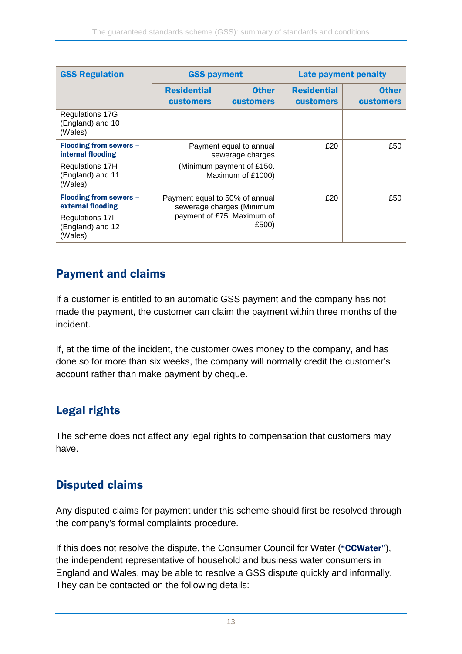| <b>GSS Regulation</b>                                                                                | <b>GSS payment</b>                                                                                 |                                  | <b>Late payment penalty</b>            |                                  |
|------------------------------------------------------------------------------------------------------|----------------------------------------------------------------------------------------------------|----------------------------------|----------------------------------------|----------------------------------|
|                                                                                                      | <b>Residential</b><br><b>customers</b>                                                             | <b>Other</b><br><b>customers</b> | <b>Residential</b><br><b>customers</b> | <b>Other</b><br><b>customers</b> |
| Regulations 17G<br>(England) and 10<br>(Wales)                                                       |                                                                                                    |                                  |                                        |                                  |
| Flooding from sewers -<br>internal flooding                                                          | Payment equal to annual<br>sewerage charges                                                        |                                  | £20                                    | £50                              |
| <b>Regulations 17H</b><br>(England) and 11<br>(Wales)                                                | (Minimum payment of £150.<br>Maximum of £1000)                                                     |                                  |                                        |                                  |
| <b>Flooding from sewers -</b><br>external flooding<br>Regulations 171<br>(England) and 12<br>(Wales) | Payment equal to 50% of annual<br>sewerage charges (Minimum<br>payment of £75. Maximum of<br>£500) |                                  | £20                                    | £50                              |

### Payment and claims

If a customer is entitled to an automatic GSS payment and the company has not made the payment, the customer can claim the payment within three months of the incident.

If, at the time of the incident, the customer owes money to the company, and has done so for more than six weeks, the company will normally credit the customer's account rather than make payment by cheque.

## Legal rights

The scheme does not affect any legal rights to compensation that customers may have.

## Disputed claims

Any disputed claims for payment under this scheme should first be resolved through the company's formal complaints procedure.

If this does not resolve the dispute, the Consumer Council for Water ("CCWater"), the independent representative of household and business water consumers in England and Wales, may be able to resolve a GSS dispute quickly and informally. They can be contacted on the following details: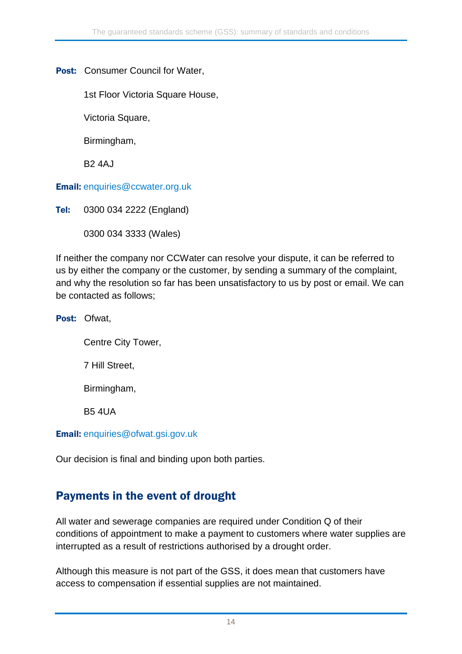Post: Consumer Council for Water,

1st Floor Victoria Square House,

Victoria Square,

Birmingham,

B2 4AJ

Email: [enquiries@ccwater.org.uk](mailto:enquiries@ccwater.org.uk)

Tel: 0300 034 2222 (England)

0300 034 3333 (Wales)

If neither the company nor CCWater can resolve your dispute, it can be referred to us by either the company or the customer, by sending a summary of the complaint, and why the resolution so far has been unsatisfactory to us by post or email. We can be contacted as follows;

Post: Ofwat,

Centre City Tower,

7 Hill Street,

Birmingham,

B5 4UA

Email: [enquiries@ofwat.gsi.gov.uk](mailto:enquiries@ofwat.gsi.gov.uk)

Our decision is final and binding upon both parties.

#### Payments in the event of drought

All water and sewerage companies are required under Condition Q of their conditions of appointment to make a payment to customers where water supplies are interrupted as a result of restrictions authorised by a drought order.

Although this measure is not part of the GSS, it does mean that customers have access to compensation if essential supplies are not maintained.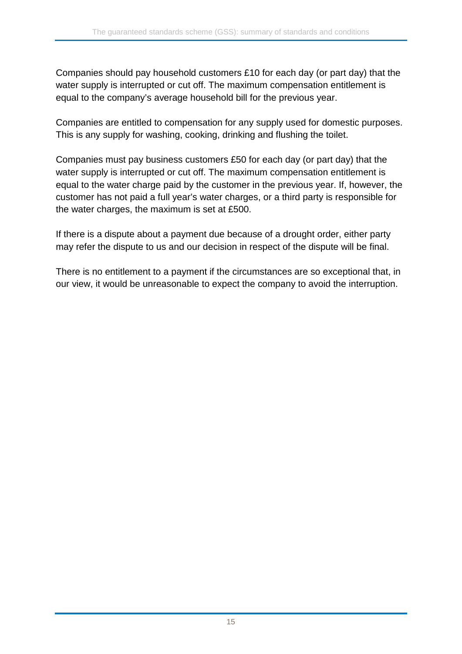Companies should pay household customers £10 for each day (or part day) that the water supply is interrupted or cut off. The maximum compensation entitlement is equal to the company's average household bill for the previous year.

Companies are entitled to compensation for any supply used for domestic purposes. This is any supply for washing, cooking, drinking and flushing the toilet.

Companies must pay business customers £50 for each day (or part day) that the water supply is interrupted or cut off. The maximum compensation entitlement is equal to the water charge paid by the customer in the previous year. If, however, the customer has not paid a full year's water charges, or a third party is responsible for the water charges, the maximum is set at £500.

If there is a dispute about a payment due because of a drought order, either party may refer the dispute to us and our decision in respect of the dispute will be final.

There is no entitlement to a payment if the circumstances are so exceptional that, in our view, it would be unreasonable to expect the company to avoid the interruption.